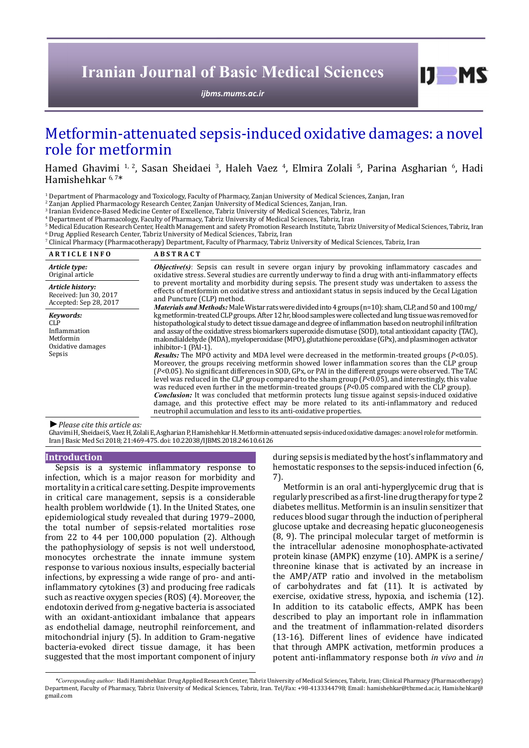# **Iranian Journal of Basic Medical Sciences**

*[ijbms.mums.ac.ir](http://ijbms.mums.ac.ir)*

## Metformin-attenuated sepsis-induced oxidative damages: a novel role for metformin

Hamed Ghavimi <sup>1, 2</sup>, Sasan Sheidaei <sup>3</sup>, Haleh Vaez <sup>4</sup>, Elmira Zolali <sup>5</sup>, Parina Asgharian <sup>6</sup>, Hadi Hamishehkar 6, 7\*

 $\frac{1}{2}$  Department of Pharmacology and Toxicology, Faculty of Pharmacy, Zanjan University of Medical Sciences, Zanjan, Iran

2 Zanjan Applied Pharmacology Research Center, Zanjan University of Medical Sciences, Zanjan, Iran.

3 Iranian Evidence-Based Medicine Center of Excellence, Tabriz University of Medical Sciences, Tabriz, Iran

4 Department of Pharmacology, Faculty of Pharmacy, Tabriz University of Medical Sciences, Tabriz, Iran

 $\frac{5}{5}$  Medical Education Research Center, Health Management and safety Promotion Research Institute, Tabriz University of Medical Sciences, Tabriz, Iran  $^{\rm 6}$  Drug Applied Research Center, Tabriz University of Medical Sciences, Tabriz, Iran

 $^\prime$  Clinical Pharmacy (Pharmacotherapy) Department, Faculty of Pharmacy, Tabriz University of Medical Sciences, Tabriz, Iran

| <b>ARTICLE INFO</b>                                                                 | <b>ABSTRACT</b>                                                                                                                                                                                                                                                                                                                                                                                                                                                                                                                                                                                                                                                                                                                                                                                                                                                                                                                                                                                                                                                                                                                                                                                                                                                                                                                                                                                                                                                                                                                                                                                                                                                                                                                                                                                                                                                                        |
|-------------------------------------------------------------------------------------|----------------------------------------------------------------------------------------------------------------------------------------------------------------------------------------------------------------------------------------------------------------------------------------------------------------------------------------------------------------------------------------------------------------------------------------------------------------------------------------------------------------------------------------------------------------------------------------------------------------------------------------------------------------------------------------------------------------------------------------------------------------------------------------------------------------------------------------------------------------------------------------------------------------------------------------------------------------------------------------------------------------------------------------------------------------------------------------------------------------------------------------------------------------------------------------------------------------------------------------------------------------------------------------------------------------------------------------------------------------------------------------------------------------------------------------------------------------------------------------------------------------------------------------------------------------------------------------------------------------------------------------------------------------------------------------------------------------------------------------------------------------------------------------------------------------------------------------------------------------------------------------|
| Article type:<br>Original article                                                   | <b><i>Objective(s)</i></b> : Sepsis can result in severe organ injury by provoking inflammatory cascades and<br>oxidative stress. Several studies are currently underway to find a drug with anti-inflammatory effects<br>to prevent mortality and morbidity during sepsis. The present study was undertaken to assess the<br>effects of metformin on oxidative stress and antioxidant status in sepsis induced by the Cecal Ligation<br>and Puncture (CLP) method.<br>Materials and Methods: Male Wistar rats were divided into 4 groups (n=10): sham, CLP, and 50 and 100 mg/<br>kg metformin-treated CLP groups. After 12 hr, blood samples were collected and lung tissue was removed for<br>histopathological study to detect tissue damage and degree of inflammation based on neutrophil infiltration<br>and assay of the oxidative stress biomarkers superoxide dismutase (SOD), total antioxidant capacity (TAC),<br>malondialdehyde (MDA), myeloperoxidase (MPO), glutathione peroxidase (GPx), and plasminogen activator<br>inhibitor-1 (PAI-1).<br><b>Results:</b> The MPO activity and MDA level were decreased in the metform in-treated groups $(P<0.05)$ .<br>Moreover, the groups receiving metformin showed lower inflammation scores than the CLP group<br>(P<0.05). No significant differences in SOD, GPx, or PAI in the different groups were observed. The TAC<br>level was reduced in the CLP group compared to the sham group $(P<0.05)$ , and interestingly, this value<br>was reduced even further in the metformin-treated groups $(P<0.05$ compared with the CLP group).<br><b>Conclusion:</b> It was concluded that metformin protects lung tissue against sepsis-induced oxidative<br>damage, and this protective effect may be more related to its anti-inflammatory and reduced<br>neutrophil accumulation and less to its anti-oxidative properties. |
| Article history:<br>Received: Jun 30, 2017<br>Accepted: Sep 28, 2017                |                                                                                                                                                                                                                                                                                                                                                                                                                                                                                                                                                                                                                                                                                                                                                                                                                                                                                                                                                                                                                                                                                                                                                                                                                                                                                                                                                                                                                                                                                                                                                                                                                                                                                                                                                                                                                                                                                        |
| Kevwords:<br><b>CLP</b><br>Inflammation<br>Metformin<br>Oxidative damages<br>Sepsis |                                                                                                                                                                                                                                                                                                                                                                                                                                                                                                                                                                                                                                                                                                                                                                                                                                                                                                                                                                                                                                                                                                                                                                                                                                                                                                                                                                                                                                                                                                                                                                                                                                                                                                                                                                                                                                                                                        |
|                                                                                     |                                                                                                                                                                                                                                                                                                                                                                                                                                                                                                                                                                                                                                                                                                                                                                                                                                                                                                                                                                                                                                                                                                                                                                                                                                                                                                                                                                                                                                                                                                                                                                                                                                                                                                                                                                                                                                                                                        |

#### *►Please cite this article as:*

Ghavimi H, Sheidaei S, Vaez H, Zolali E, Asgharian P, Hamishehkar H. Metformin-attenuated sepsis-induced oxidative damages: a novel role for metformin. Iran J Basic Med Sci 2018; 21:469-475. doi: 10.22038/IJBMS.2018.24610.6126

#### **Introduction**

Sepsis is a systemic inflammatory response to infection, which is a major reason for morbidity and mortality in a critical care setting. Despite improvements in critical care management, sepsis is a considerable health problem worldwide (1). In the United States, one epidemiological study revealed that during 1979–2000, the total number of sepsis-related mortalities rose from 22 to 44 per 100,000 population (2). Although the pathophysiology of sepsis is not well understood, monocytes orchestrate the innate immune system response to various noxious insults, especially bacterial infections, by expressing a wide range of pro- and antiinflammatory cytokines (3) and producing free radicals such as reactive oxygen species (ROS) (4). Moreover, the endotoxin derived from g-negative bacteria is associated with an oxidant-antioxidant imbalance that appears as endothelial damage, neutrophil reinforcement, and mitochondrial injury (5). In addition to Gram-negative bacteria-evoked direct tissue damage, it has been suggested that the most important component of injury

during sepsis is mediated by the host's inflammatory and hemostatic responses to the sepsis-induced infection (6, 7).

 $I$   $I$   $M$   $S$ 

Metformin is an oral anti-hyperglycemic drug that is regularly prescribed as a first-line drug therapy for type 2 diabetes mellitus. Metformin is an insulin sensitizer that reduces blood sugar through the induction of peripheral glucose uptake and decreasing hepatic gluconeogenesis (8, 9). The principal molecular target of metformin is the intracellular adenosine monophosphate-activated protein kinase (AMPK) enzyme (10). AMPK is a serine/ threonine kinase that is activated by an increase in the AMP/ATP ratio and involved in the metabolism of carbohydrates and fat (11). It is activated by exercise, oxidative stress, hypoxia, and ischemia (12). In addition to its catabolic effects, AMPK has been described to play an important role in inflammation and the treatment of inflammation-related disorders (13-16). Different lines of evidence have indicated that through AMPK activation, metformin produces a potent anti-inflammatory response both *in vivo* and *in* 

*<sup>\*</sup>Corresponding author:* Hadi Hamishehkar. Drug Applied Research Center, Tabriz University of Medical Sciences, Tabriz, Iran; Clinical Pharmacy (Pharmacotherapy) Department, Faculty of Pharmacy, Tabriz University of Medical Sciences, Tabriz, Iran. Tel/Fax: +98-4133344798; Email: hamishehkar@tbzmed.ac.ir, Hamishehkar@ gmail.com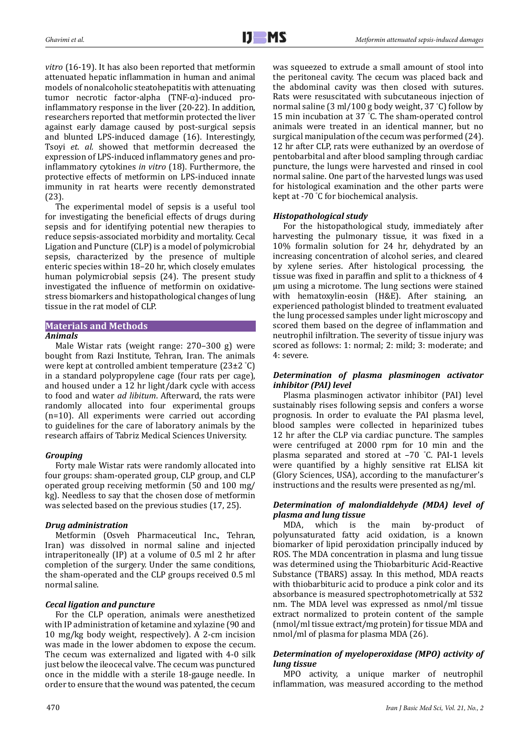*vitro* (16-19). It has also been reported that metformin attenuated hepatic inflammation in human and animal models of nonalcoholic steatohepatitis with attenuating tumor necrotic factor-alpha (TNF-α)-induced proinflammatory response in the liver (20-22). In addition, researchers reported that metformin protected the liver against early damage caused by post-surgical sepsis and blunted LPS-induced damage (16). Interestingly, Tsoyi *et. al.* showed that metformin decreased the expression of LPS-induced inflammatory genes and proinflammatory cytokines *in vitro* (18). Furthermore, the protective effects of metformin on LPS-induced innate immunity in rat hearts were recently demonstrated (23).

The experimental model of sepsis is a useful tool for investigating the beneficial effects of drugs during sepsis and for identifying potential new therapies to reduce sepsis-associated morbidity and mortality. Cecal Ligation and Puncture (CLP) is a model of polymicrobial sepsis, characterized by the presence of multiple enteric species within 18–20 hr, which closely emulates human polymicrobial sepsis (24). The present study investigated the influence of metformin on oxidativestress biomarkers and histopathological changes of lung tissue in the rat model of CLP.

## **Materials and Methods**

## *Animals*

Male Wistar rats (weight range: 270–300 g) were bought from Razi Institute, Tehran, Iran. The animals were kept at controlled ambient temperature (23±2 ° C) in a standard polypropylene cage (four rats per cage), and housed under a 12 hr light/dark cycle with access to food and water *ad libitum*. Afterward, the rats were randomly allocated into four experimental groups (n=10). All experiments were carried out according to guidelines for the care of laboratory animals by the research affairs of Tabriz Medical Sciences University.

## *Grouping*

Forty male Wistar rats were randomly allocated into four groups: sham-operated group, CLP group, and CLP operated group receiving metformin (50 and 100 mg/ kg). Needless to say that the chosen dose of metformin was selected based on the previous studies (17, 25).

## *Drug administration*

Metformin (Osveh Pharmaceutical Inc., Tehran, Iran) was dissolved in normal saline and injected intraperitoneally (IP) at a volume of 0.5 ml 2 hr after completion of the surgery. Under the same conditions, the sham-operated and the CLP groups received 0.5 ml normal saline.

## *Cecal ligation and puncture*

For the CLP operation, animals were anesthetized with IP administration of ketamine and xylazine (90 and 10 mg/kg body weight, respectively). A 2-cm incision was made in the lower abdomen to expose the cecum. The cecum was externalized and ligated with 4-0 silk just below the ileocecal valve. The cecum was punctured once in the middle with a sterile 18-gauge needle. In order to ensure that the wound was patented, the cecum was squeezed to extrude a small amount of stool into the peritoneal cavity. The cecum was placed back and the abdominal cavity was then closed with sutures. Rats were resuscitated with subcutaneous injection of normal saline (3 ml/100 g body weight, 37 ° C) follow by 15 min incubation at 37 ° C. The sham-operated control animals were treated in an identical manner, but no surgical manipulation of the cecum was performed (24). 12 hr after CLP, rats were euthanized by an overdose of pentobarbital and after blood sampling through cardiac puncture, the lungs were harvested and rinsed in cool normal saline. One part of the harvested lungs was used for histological examination and the other parts were kept at -70 ° C for biochemical analysis.

## *Histopathological study*

For the histopathological study, immediately after harvesting the pulmonary tissue, it was fixed in a 10% formalin solution for 24 hr, dehydrated by an increasing concentration of alcohol series, and cleared by xylene series. After histological processing, the tissue was fixed in paraffin and split to a thickness of 4 μm using a microtome. The lung sections were stained with hematoxylin-eosin (H&E). After staining, an experienced pathologist blinded to treatment evaluated the lung processed samples under light microscopy and scored them based on the degree of inflammation and neutrophil infiltration. The severity of tissue injury was scored as follows: 1: normal; 2: mild; 3: moderate; and 4: severe.

## *Determination of plasma plasminogen activator inhibitor (PAI) level*

Plasma plasminogen activator inhibitor (PAI) level sustainably rises following sepsis and confers a worse prognosis. In order to evaluate the PAI plasma level, blood samples were collected in heparinized tubes 12 hr after the CLP via cardiac puncture. The samples were centrifuged at 2000 rpm for 10 min and the plasma separated and stored at –70 ° C. PAI-1 levels were quantified by a highly sensitive rat ELISA kit (Glory Sciences, USA), according to the manufacturer's instructions and the results were presented as ng/ml.

## *Determination of malondialdehyde (MDA) level of plasma and lung tissue*

MDA, which is the main by-product of polyunsaturated fatty acid oxidation, is a known biomarker of lipid peroxidation principally induced by ROS. The MDA concentration in plasma and lung tissue was determined using the Thiobarbituric Acid-Reactive Substance (TBARS) assay. In this method, MDA reacts with thiobarbituric acid to produce a pink color and its absorbance is measured spectrophotometrically at 532 nm. The MDA level was expressed as nmol/ml tissue extract normalized to protein content of the sample (nmol/ml tissue extract/mg protein) for tissue MDA and nmol/ml of plasma for plasma MDA (26).

## *Determination of myeloperoxidase (MPO) activity of lung tissue*

MPO activity, a unique marker of neutrophil inflammation, was measured according to the method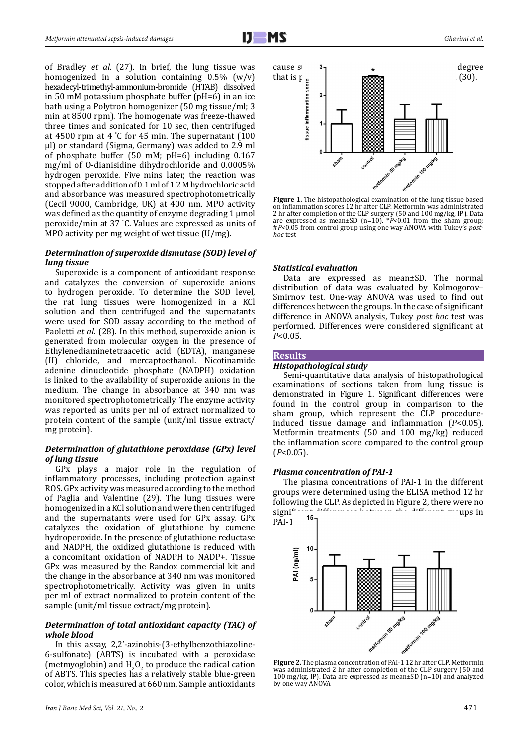of Bradley *et al.* (27). In brief, the lung tissue was homogenized in a solution containing  $0.5\%$  (w/v) hexadecyl-trimethyl-ammonium-bromide (HTAB) dissolved in 50 mM potassium phosphate buffer (pH=6) in an ice bath using a Polytron homogenizer (50 mg tissue/ml; 3 min at 8500 rpm). The homogenate was freeze-thawed three times and sonicated for 10 sec, then centrifuged at 4500 rpm at 4 ° C for 45 min. The supernatant (100 μl) or standard (Sigma, Germany) was added to 2.9 ml of phosphate buffer  $(50 \text{ mM}; \text{ pH=6})$  including  $0.167$ mg/ml of O-dianisidine dihydrochloride and 0.0005% hydrogen peroxide. Five mins later, the reaction was stopped after addition of 0.1 ml of 1.2 M hydrochloric acid and absorbance was measured spectrophotometrically (Cecil 9000, Cambridge, UK) at 400 nm. MPO activity was defined as the quantity of enzyme degrading 1 μmol peroxide/min at 37 ° C. Values are expressed as units of MPO activity per mg weight of wet tissue (U/mg).

## *Determination of superoxide dismutase (SOD) level of lung tissue*

Superoxide is a component of antioxidant response and catalyzes the conversion of superoxide anions to hydrogen peroxide. To determine the SOD level, the rat lung tissues were homogenized in a KCl solution and then centrifuged and the supernatants were used for SOD assay according to the method of Paoletti *et al.* (28). In this method, superoxide anion is generated from molecular oxygen in the presence of Ethylenediaminetetraacetic acid (EDTA), manganese (II) chloride, and mercaptoethanol. Nicotinamide adenine dinucleotide phosphate (NADPH) oxidation is linked to the availability of superoxide anions in the medium. The change in absorbance at 340 nm was monitored spectrophotometrically. The enzyme activity was reported as units per ml of extract normalized to protein content of the sample (unit/ml tissue extract/ mg protein).

## *Determination of glutathione peroxidase (GPx) level of lung tissue*

GPx plays a major role in the regulation of inflammatory processes, including protection against ROS. GPx activity was measured according to the method of Paglia and Valentine (29). The lung tissues were homogenized in a KCl solution and were then centrifuged and the supernatants were used for GPx assay. GPx catalyzes the oxidation of glutathione by cumene hydroperoxide. In the presence of glutathione reductase and NADPH, the oxidized glutathione is reduced with a concomitant oxidation of NADPH to NADP+. Tissue GPx was measured by the Randox commercial kit and the change in the absorbance at 340 nm was monitored spectrophotometrically. Activity was given in units per ml of extract normalized to protein content of the sample (unit/ml tissue extract/mg protein).

## *Determination of total antioxidant capacity (TAC) of whole blood*

In this assay, 2,2'-azinobis-(3-ethylbenzothiazoline-6-sulfonate) (ABTS) is incubated with a peroxidase (metmyoglobin) and  $H_2O_2$  to produce the radical cation of ABTS. This species has a relatively stable blue-green color, which is measured at 660 nm. Sample antioxidants



**Figure 1.** The histopathological examination of the lung tissue based on inflammation scores 12 hr after CLP. Metformin was administrated 2 hr after completion of the CLP surgery (50 and 100 mg/kg, IP). Data are expressed as mean±SD (n=10). \**P<*0.01 from the sham group; #*P<*0.05 from control group using one way ANOVA with Tukey's *posthoc* test

### *Statistical evaluation*

Data are expressed as mean±SD. The normal distribution of data was evaluated by Kolmogorov– Smirnov test. One-way ANOVA was used to find out differences between the groups. In the case of significant difference in ANOVA analysis, Tukey *post hoc* test was performed. Differences were considered significant at *P*<0.05.

### **Results**

## *Histopathological study*

Semi-quantitative data analysis of histopathological examinations of sections taken from lung tissue is demonstrated in Figure 1. Significant differences were found in the control group in comparison to the sham group, which represent the CLP procedureinduced tissue damage and inflammation (*P*<0.05). Metformin treatments (50 and 100 mg/kg) reduced the inflammation score compared to the control group (*P*<0.05).

#### *Plasma concentration of PAI-1*

The plasma concentrations of PAI-1 in the different groups were determined using the ELISA method 12 hr following the CLP. As depicted in Figure 2, there were no significant different current in significant differences between the different groups in  $15\pi$ 



was administrated 2 hr after completion of the CLP surgery (50 and 100 mg/kg, IP). Data are expressed as mean±SD (n=10) and analyzed by one way ANOVA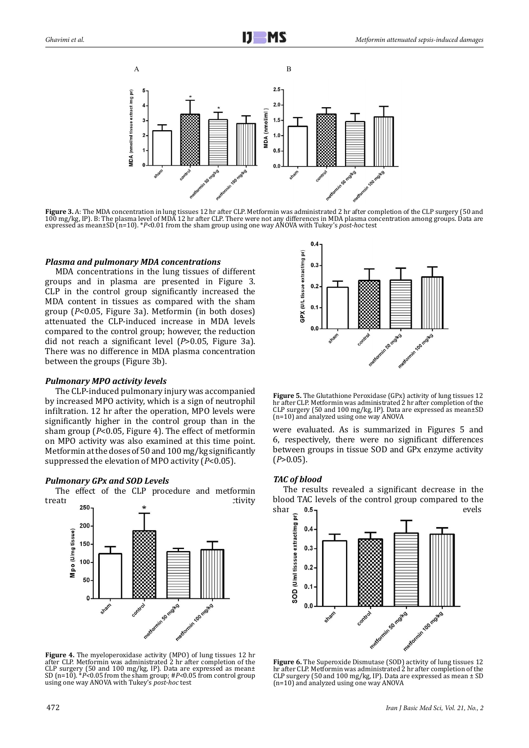



#### *Plasma and pulmonary MDA concentrations*

MDA concentrations in the lung tissues of different groups and in plasma are presented in Figure 3. CLP in the control group significantly increased the MDA content in tissues as compared with the sham group (*P*<0.05, Figure 3a). Metformin (in both doses) attenuated the CLP-induced increase in MDA levels compared to the control group; however, the reduction did not reach a significant level (*P*>0.05, Figure 3a). There was no difference in MDA plasma concentration between the groups (Figure 3b).

#### *Pulmonary MPO activity levels*

The CLP-induced pulmonary injury was accompanied by increased MPO activity, which is a sign of neutrophil infiltration. 12 hr after the operation, MPO levels were significantly higher in the control group than in the sham group (*P*<0.05, Figure 4). The effect of metformin on MPO activity was also examined at this time point. Metformin at the doses of 50 and 100 mg/kg significantly suppressed the elevation of MPO activity (*P*<0.05).

#### *Pulmonary GPx and SOD Levels*

The effect of the CLP procedure and metformin<br>treati treating treating treating treating treating treating treating treating treaty to the CLP procedure and methods.



**Figure 4.** The myeloperoxidase activity (MPO) of lung tissues 12 hr after CLP. Metformin was administrated 2 hr after completion of the CLP surgery (50 and 100 mg/kg, IP). Data are expressed as mean± SD (n=10). \**P<*0.05 from the sham group; #*P<*0.05 from control group using one way ANOVA with Tukey's *post-hoc* test



**Figure 5.** The Glutathione Peroxidase (GPx) activity of lung tissues 12 hr after CLP. Metformin was administrated 2 hr after completion of the CLP surgery (50 and 100 mg/kg, IP). Data are expressed as mean±SD (n=10) and analyzed using one way ANOVA

were evaluated. As is summarized in Figures 5 and 6, respectively, there were no significant differences between groups in tissue SOD and GPx enzyme activity (*P*>0.05).

#### *TAC of blood*

The results revealed a significant decrease in the blood TAC levels of the control group compared to the shar  $0.5$  $\mathsf{char}_{\mathcal{F}}$  **0.5<sub>1</sub> P** 



**Figure 6.** The Superoxide Dismutase (SOD) activity of lung tissues 12 hr after CLP. Metformin was administrated 2 hr after completion of the CLP surgery (50 and 100 mg/kg, IP). Data are expressed as mean ± SD (n=10) and analyzed using one way ANOVA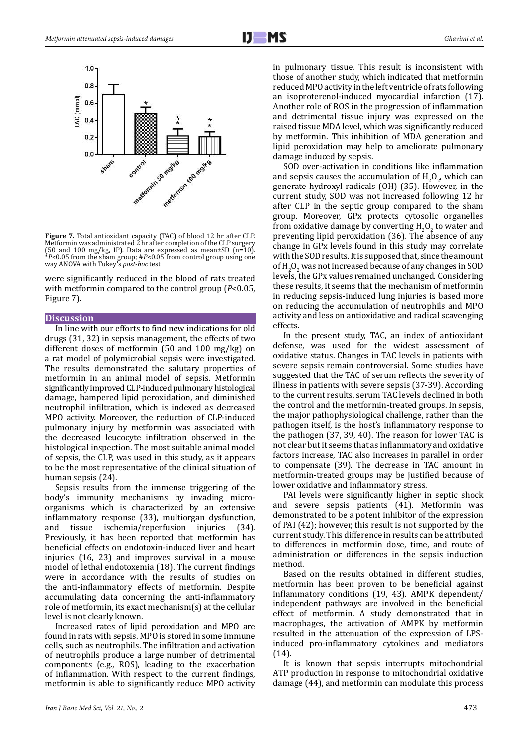

**Figure 7.** Total antioxidant capacity (TAC) of blood 12 hr after CLP. Metformin was administrated 2 hr after completion of the CLP surgery (50 and 100 mg/kg, IP). Data are expressed as mean±SD (n=10). \**P<*0.05 from the sham group; #*P<*0.05 from control group using one way ANOVA with Tukey's *post-hoc* test

were significantly reduced in the blood of rats treated with metformin compared to the control group (*P*<0.05, Figure 7).

## **Discussion**

In line with our efforts to find new indications for old drugs (31, 32) in sepsis management, the effects of two different doses of metformin (50 and 100 mg/kg) on a rat model of polymicrobial sepsis were investigated. The results demonstrated the salutary properties of metformin in an animal model of sepsis. Metformin significantly improved CLP-induced pulmonary histological damage, hampered lipid peroxidation, and diminished neutrophil infiltration, which is indexed as decreased MPO activity. Moreover, the reduction of CLP-induced pulmonary injury by metformin was associated with the decreased leucocyte infiltration observed in the histological inspection. The most suitable animal model of sepsis, the CLP, was used in this study, as it appears to be the most representative of the clinical situation of human sepsis (24).

Sepsis results from the immense triggering of the body's immunity mechanisms by invading microorganisms which is characterized by an extensive inflammatory response (33), multiorgan dysfunction, and tissue ischemia/reperfusion Previously, it has been reported that metformin has beneficial effects on endotoxin-induced liver and heart injuries (16, 23) and improves survival in a mouse model of lethal endotoxemia (18). The current findings were in accordance with the results of studies on the anti-inflammatory effects of metformin. Despite accumulating data concerning the anti-inflammatory role of metformin, its exact mechanism(s) at the cellular level is not clearly known.

Increased rates of lipid peroxidation and MPO are found in rats with sepsis. MPO is stored in some immune cells, such as neutrophils. The infiltration and activation of neutrophils produce a large number of detrimental components (e.g., ROS), leading to the exacerbation of inflammation. With respect to the current findings, metformin is able to significantly reduce MPO activity in pulmonary tissue. This result is inconsistent with those of another study, which indicated that metformin reduced MPO activity in the left ventricle of rats following an isoproterenol-induced myocardial infarction (17). Another role of ROS in the progression of inflammation and detrimental tissue injury was expressed on the raised tissue MDA level, which was significantly reduced by metformin. This inhibition of MDA generation and lipid peroxidation may help to ameliorate pulmonary damage induced by sepsis.

SOD over-activation in conditions like inflammation and sepsis causes the accumulation of  $H_2O_2$ , which can generate hydroxyl radicals (OH) (35). However, in the current study, SOD was not increased following 12 hr after CLP in the septic group compared to the sham group. Moreover, GPx protects cytosolic organelles from oxidative damage by converting  $H_2O_2$  to water and preventing lipid peroxidation (36). The absence of any change in GPx levels found in this study may correlate with the SOD results. It is supposed that, since the amount of  $H_2O_2$  was not increased because of any changes in SOD levels, the GPx values remained unchanged. Considering these results, it seems that the mechanism of metformin in reducing sepsis-induced lung injuries is based more on reducing the accumulation of neutrophils and MPO activity and less on antioxidative and radical scavenging effects.

In the present study, TAC, an index of antioxidant defense, was used for the widest assessment of oxidative status. Changes in TAC levels in patients with severe sepsis remain controversial. Some studies have suggested that the TAC of serum reflects the severity of illness in patients with severe sepsis (37-39). According to the current results, serum TAC levels declined in both the control and the metformin-treated groups. In sepsis, the major pathophysiological challenge, rather than the pathogen itself, is the host's inflammatory response to the pathogen (37, 39, 40). The reason for lower TAC is not clear but it seems that as inflammatory and oxidative factors increase, TAC also increases in parallel in order to compensate (39). The decrease in TAC amount in metformin-treated groups may be justified because of lower oxidative and inflammatory stress.

PAI levels were significantly higher in septic shock and severe sepsis patients (41). Metformin was demonstrated to be a potent inhibitor of the expression of PAI (42); however, this result is not supported by the current study. This difference in results can be attributed to differences in metformin dose, time, and route of administration or differences in the sepsis induction method.

Based on the results obtained in different studies, metformin has been proven to be beneficial against inflammatory conditions (19, 43). AMPK dependent/ independent pathways are involved in the beneficial effect of metformin. A study demonstrated that in macrophages, the activation of AMPK by metformin resulted in the attenuation of the expression of LPSinduced pro-inflammatory cytokines and mediators (14).

It is known that sepsis interrupts mitochondrial ATP production in response to mitochondrial oxidative damage (44), and metformin can modulate this process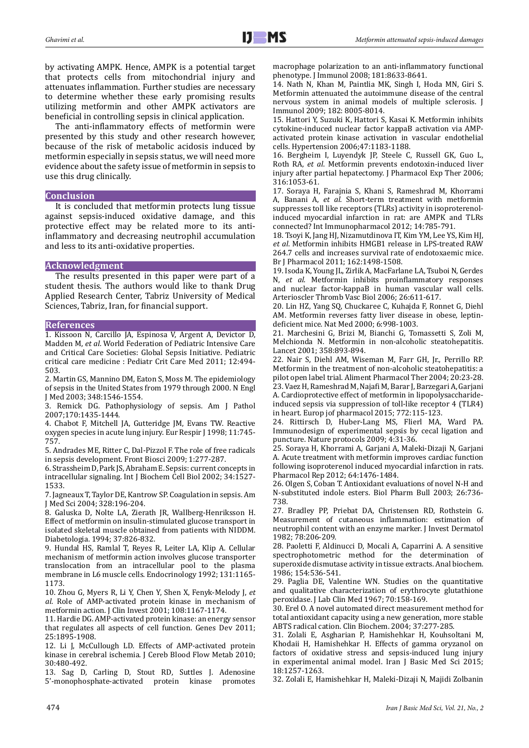by activating AMPK. Hence, AMPK is a potential target that protects cells from mitochondrial injury and attenuates inflammation. Further studies are necessary to determine whether these early promising results utilizing metformin and other AMPK activators are beneficial in controlling sepsis in clinical application.

The anti-inflammatory effects of metformin were presented by this study and other research however, because of the risk of metabolic acidosis induced by metformin especially in sepsis status, we will need more evidence about the safety issue of metformin in sepsis to use this drug clinically.

#### **Conclusion**

It is concluded that metformin protects lung tissue against sepsis-induced oxidative damage, and this protective effect may be related more to its antiinflammatory and decreasing neutrophil accumulation and less to its anti-oxidative properties.

## **Acknowledgment**

The results presented in this paper were part of a student thesis. The authors would like to thank Drug Applied Research Center, Tabriz University of Medical Sciences, Tabriz, Iran, for financial support.

#### **References**

1. Kissoon N, Carcillo JA, Espinosa V, Argent A, Devictor D, Madden M, *et al*. World Federation of Pediatric Intensive Care and Critical Care Societies: Global Sepsis Initiative. Pediatric critical care medicine : Pediatr Crit Care Med 2011; 12:494- 503.

2. Martin GS, Mannino DM, Eaton S, Moss M. The epidemiology of sepsis in the United States from 1979 through 2000. N Engl J Med 2003; 348:1546-1554.

3. Remick DG. Pathophysiology of sepsis. Am J Pathol 2007;170:1435-1444.

4. Chabot F, Mitchell JA, Gutteridge JM, Evans TW. Reactive oxygen species in acute lung injury. Eur Respir J 1998; 11:745- 757.

5. Andrades ME, Ritter C, Dal-Pizzol F. The role of free radicals in sepsis development. Front Biosci 2009; 1:277-287.

6. Strassheim D, Park JS, Abraham E. Sepsis: current concepts in intracellular signaling. Int J Biochem Cell Biol 2002; 34:1527- 1533.

7. Jagneaux T, Taylor DE, Kantrow SP. Coagulation in sepsis. Am J Med Sci 2004; 328:196-204.

8. Galuska D, Nolte LA, Zierath JR, Wallberg-Henriksson H. Effect of metformin on insulin-stimulated glucose transport in isolated skeletal muscle obtained from patients with NIDDM. Diabetologia. 1994; 37:826-832.

9. Hundal HS, Ramlal T, Reyes R, Leiter LA, Klip A. Cellular mechanism of metformin action involves glucose transporter translocation from an intracellular pool to the plasma membrane in L6 muscle cells. Endocrinology 1992; 131:1165- 1173.

10. Zhou G, Myers R, Li Y, Chen Y, Shen X, Fenyk-Melody J, *et al*. Role of AMP-activated protein kinase in mechanism of metformin action. J Clin Invest 2001; 108:1167-1174.

11. Hardie DG. AMP-activated protein kinase: an energy sensor that regulates all aspects of cell function. Genes Dev 2011; 25:1895-1908.

12. Li J, McCullough LD. Effects of AMP-activated protein kinase in cerebral ischemia. J Cereb Blood Flow Metab 2010; 30:480-492.

13. Sag D, Carling D, Stout RD, Suttles J. Adenosine 5'-monophosphate-activated protein kinase promotes macrophage polarization to an anti-inflammatory functional phenotype. J Immunol 2008; 181:8633-8641.

14. Nath N, Khan M, Paintlia MK, Singh I, Hoda MN, Giri S. Metformin attenuated the autoimmune disease of the central nervous system in animal models of multiple sclerosis. J Immunol 2009; 182: 8005-8014.

15. Hattori Y, Suzuki K, Hattori S, Kasai K. Metformin inhibits cytokine-induced nuclear factor kappaB activation via AMPactivated protein kinase activation in vascular endothelial cells. Hypertension 2006;47:1183-1188.

16. Bergheim I, Luyendyk JP, Steele C, Russell GK, Guo L, Roth RA, *et al*. Metformin prevents endotoxin-induced liver injury after partial hepatectomy. J Pharmacol Exp Ther 2006; 316:1053-61.

17. Soraya H, Farajnia S, Khani S, Rameshrad M, Khorrami A, Banani A, *et al*. Short-term treatment with metformin suppresses toll like receptors (TLRs) activity in isoproterenolinduced myocardial infarction in rat: are AMPK and TLRs connected? Int Immunopharmacol 2012; 14:785-791.

18. Tsoyi K, Jang HJ, Nizamutdinova IT, Kim YM, Lee YS, Kim HJ, *et al*. Metformin inhibits HMGB1 release in LPS-treated RAW 264.7 cells and increases survival rate of endotoxaemic mice. Br J Pharmacol 2011; 162:1498-1508.

19. Isoda K, Young JL, Zirlik A, MacFarlane LA, Tsuboi N, Gerdes N, *et al*. Metformin inhibits proinflammatory responses and nuclear factor-kappaB in human vascular wall cells. Arterioscler Thromb Vasc Biol 2006; 26:611-617.

20. Lin HZ, Yang SQ, Chuckaree C, Kuhajda F, Ronnet G, Diehl AM. Metformin reverses fatty liver disease in obese, leptindeficient mice. Nat Med 2000; 6:998-1003.

21. Marchesini G, Brizi M, Bianchi G, Tomassetti S, Zoli M, Melchionda N. Metformin in non-alcoholic steatohepatitis. Lancet 2001; 358:893-894.

22. Nair S, Diehl AM, Wiseman M, Farr GH, Jr., Perrillo RP. Metformin in the treatment of non-alcoholic steatohepatitis: a pilot open label trial. Aliment Pharmacol Ther 2004; 20:23-28. 23. Vaez H, Rameshrad M, Najafi M, Barar J, Barzegari A, Garjani A. Cardioprotective effect of metformin in lipopolysaccharideinduced sepsis via suppression of toll-like receptor 4 (TLR4) in heart. Europ jof pharmacol 2015; 772:115-123.

24. Rittirsch D, Huber-Lang MS, Flierl MA, Ward PA. Immunodesign of experimental sepsis by cecal ligation and puncture. Nature protocols 2009; 4:31-36.

25. Soraya H, Khorrami A, Garjani A, Maleki-Dizaji N, Garjani A. Acute treatment with metformin improves cardiac function following isoproterenol induced myocardial infarction in rats. Pharmacol Rep 2012; 64:1476-1484.

26. Olgen S, Coban T. Antioxidant evaluations of novel N-H and N-substituted indole esters. Biol Pharm Bull 2003; 26:736- 738.

27. Bradley PP, Priebat DA, Christensen RD, Rothstein G. Measurement of cutaneous inflammation: estimation of neutrophil content with an enzyme marker. J Invest Dermatol 1982; 78:206-209.

28. Paoletti F, Aldinucci D, Mocali A, Caparrini A. A sensitive spectrophotometric method for the determination of superoxide dismutase activity in tissue extracts. Anal biochem. 1986; 154:536-541.

29. Paglia DE, Valentine WN. Studies on the quantitative and qualitative characterization of erythrocyte glutathione peroxidase. J Lab Clin Med 1967; 70:158-169.

30. Erel O. A novel automated direct measurement method for total antioxidant capacity using a new generation, more stable ABTS radical cation. Clin Biochem. 2004; 37:277-285.

31. Zolali E, Asgharian P, Hamishehkar H, Kouhsoltani M, Khodaii H, Hamishehkar H. Effects of gamma oryzanol on factors of oxidative stress and sepsis-induced lung injury in experimental animal model. Iran J Basic Med Sci 2015; 18:1257-1263.

32. Zolali E, Hamishehkar H, Maleki-Dizaji N, Majidi Zolbanin